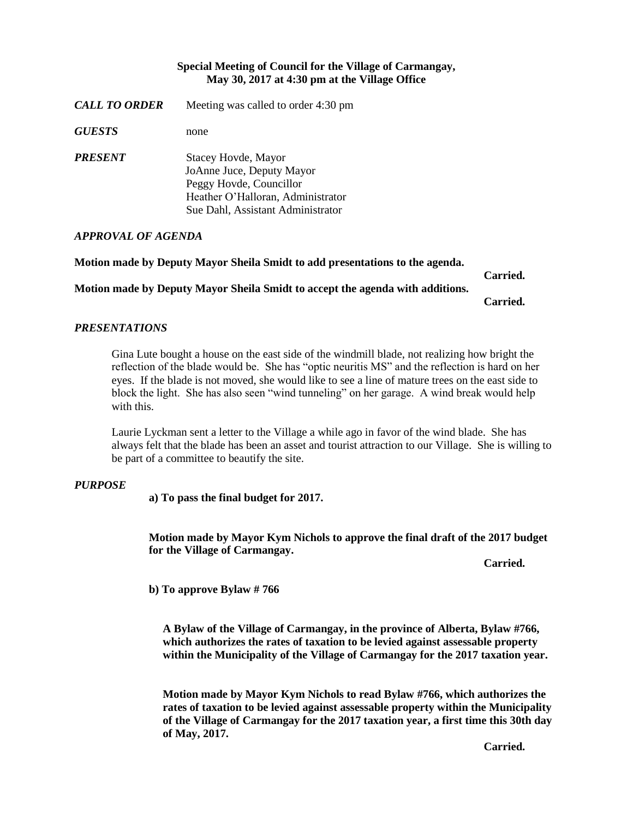## **Special Meeting of Council for the Village of Carmangay, May 30, 2017 at 4:30 pm at the Village Office**

*CALL TO ORDER* Meeting was called to order 4:30 pm

*GUESTS* none

*PRESENT* Stacey Hovde, Mayor JoAnne Juce, Deputy Mayor Peggy Hovde, Councillor Heather O'Halloran, Administrator Sue Dahl, Assistant Administrator

## *APPROVAL OF AGENDA*

**Motion made by Deputy Mayor Sheila Smidt to add presentations to the agenda.**

**Carried.**

**Motion made by Deputy Mayor Sheila Smidt to accept the agenda with additions.**

**Carried.**

# *PRESENTATIONS*

Gina Lute bought a house on the east side of the windmill blade, not realizing how bright the reflection of the blade would be. She has "optic neuritis MS" and the reflection is hard on her eyes. If the blade is not moved, she would like to see a line of mature trees on the east side to block the light. She has also seen "wind tunneling" on her garage. A wind break would help with this.

Laurie Lyckman sent a letter to the Village a while ago in favor of the wind blade. She has always felt that the blade has been an asset and tourist attraction to our Village. She is willing to be part of a committee to beautify the site.

## *PURPOSE*

**a) To pass the final budget for 2017.**

**Motion made by Mayor Kym Nichols to approve the final draft of the 2017 budget for the Village of Carmangay.** 

**Carried.**

**b) To approve Bylaw # 766**

**A Bylaw of the Village of Carmangay, in the province of Alberta, Bylaw #766, which authorizes the rates of taxation to be levied against assessable property within the Municipality of the Village of Carmangay for the 2017 taxation year.**

**Motion made by Mayor Kym Nichols to read Bylaw #766, which authorizes the rates of taxation to be levied against assessable property within the Municipality of the Village of Carmangay for the 2017 taxation year, a first time this 30th day of May, 2017.** 

*Carried. Carried.*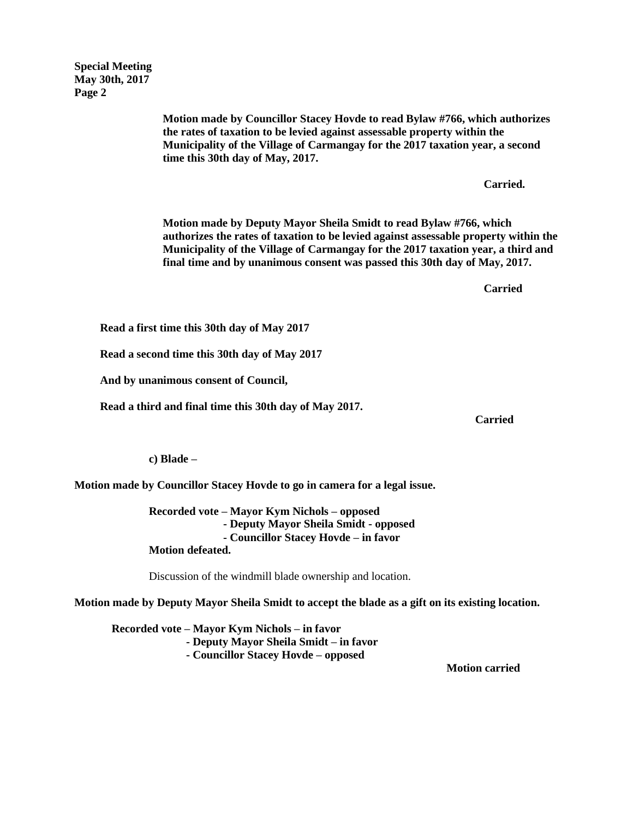**Special Meeting May 30th, 2017 Page 2**

> **Motion made by Councillor Stacey Hovde to read Bylaw #766, which authorizes the rates of taxation to be levied against assessable property within the Municipality of the Village of Carmangay for the 2017 taxation year, a second time this 30th day of May, 2017.**

> > **Carried.**

**Motion made by Deputy Mayor Sheila Smidt to read Bylaw #766, which authorizes the rates of taxation to be levied against assessable property within the Municipality of the Village of Carmangay for the 2017 taxation year, a third and final time and by unanimous consent was passed this 30th day of May, 2017.**

**Carried**

 **Read a first time this 30th day of May 2017**

 **Read a second time this 30th day of May 2017**

 **And by unanimous consent of Council,**

 **Read a third and final time this 30th day of May 2017.**

*Carried* 

#### **c) Blade –**

**Motion made by Councillor Stacey Hovde to go in camera for a legal issue.**

**Recorded vote – Mayor Kym Nichols – opposed - Deputy Mayor Sheila Smidt - opposed - Councillor Stacey Hovde – in favor Motion defeated.**

Discussion of the windmill blade ownership and location.

**Motion made by Deputy Mayor Sheila Smidt to accept the blade as a gift on its existing location.**

**Recorded vote – Mayor Kym Nichols – in favor - Deputy Mayor Sheila Smidt – in favor - Councillor Stacey Hovde – opposed**

**Motion carried**